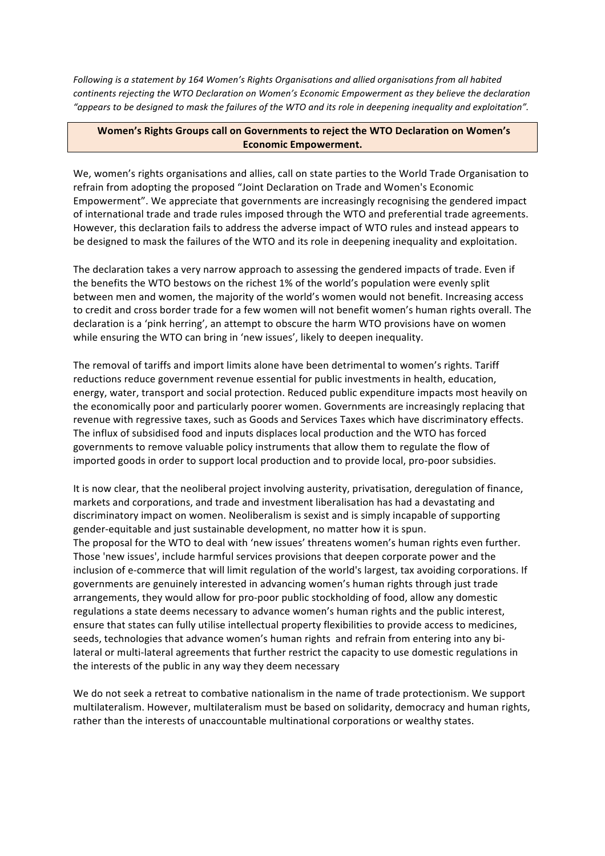*Following is a statement by 164 Women's Rights Organisations and allied organisations from all habited continents rejecting the WTO Declaration on Women's Economic Empowerment as they believe the declaration* "appears to be designed to mask the failures of the WTO and its role in deepening inequality and exploitation".

## **Women's Rights Groups call on Governments to reject the WTO Declaration on Women's Economic Empowerment.**

We, women's rights organisations and allies, call on state parties to the World Trade Organisation to refrain from adopting the proposed "Joint Declaration on Trade and Women's Economic Empowerment". We appreciate that governments are increasingly recognising the gendered impact of international trade and trade rules imposed through the WTO and preferential trade agreements. However, this declaration fails to address the adverse impact of WTO rules and instead appears to be designed to mask the failures of the WTO and its role in deepening inequality and exploitation.

The declaration takes a very narrow approach to assessing the gendered impacts of trade. Even if the benefits the WTO bestows on the richest 1% of the world's population were evenly split between men and women, the majority of the world's women would not benefit. Increasing access to credit and cross border trade for a few women will not benefit women's human rights overall. The declaration is a 'pink herring', an attempt to obscure the harm WTO provisions have on women while ensuring the WTO can bring in 'new issues', likely to deepen inequality.

The removal of tariffs and import limits alone have been detrimental to women's rights. Tariff reductions reduce government revenue essential for public investments in health, education, energy, water, transport and social protection. Reduced public expenditure impacts most heavily on the economically poor and particularly poorer women. Governments are increasingly replacing that revenue with regressive taxes, such as Goods and Services Taxes which have discriminatory effects. The influx of subsidised food and inputs displaces local production and the WTO has forced governments to remove valuable policy instruments that allow them to regulate the flow of imported goods in order to support local production and to provide local, pro-poor subsidies.

It is now clear, that the neoliberal project involving austerity, privatisation, deregulation of finance, markets and corporations, and trade and investment liberalisation has had a devastating and discriminatory impact on women. Neoliberalism is sexist and is simply incapable of supporting gender-equitable and just sustainable development, no matter how it is spun. The proposal for the WTO to deal with 'new issues' threatens women's human rights even further. Those 'new issues', include harmful services provisions that deepen corporate power and the inclusion of e-commerce that will limit regulation of the world's largest, tax avoiding corporations. If governments are genuinely interested in advancing women's human rights through just trade arrangements, they would allow for pro-poor public stockholding of food, allow any domestic regulations a state deems necessary to advance women's human rights and the public interest, ensure that states can fully utilise intellectual property flexibilities to provide access to medicines, seeds, technologies that advance women's human rights and refrain from entering into any bilateral or multi-lateral agreements that further restrict the capacity to use domestic regulations in the interests of the public in any way they deem necessary

We do not seek a retreat to combative nationalism in the name of trade protectionism. We support multilateralism. However, multilateralism must be based on solidarity, democracy and human rights, rather than the interests of unaccountable multinational corporations or wealthy states.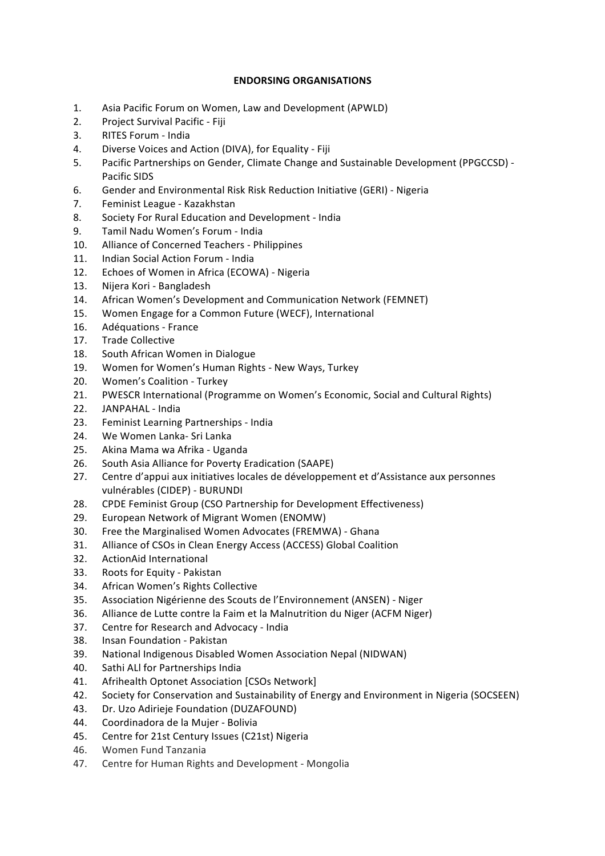## **ENDORSING ORGANISATIONS**

- 1. Asia Pacific Forum on Women, Law and Development (APWLD)
- 2. Project Survival Pacific Fiji
- 3. RITES Forum India
- 4. Diverse Voices and Action (DIVA), for Equality Fiji
- 5. Pacific Partnerships on Gender, Climate Change and Sustainable Development (PPGCCSD) -Pacific SIDS
- 6. Gender and Environmental Risk Risk Reduction Initiative (GERI) Nigeria
- 7. Feminist League Kazakhstan
- 8. Society For Rural Education and Development India
- 9. Tamil Nadu Women's Forum India
- 10. Alliance of Concerned Teachers Philippines
- 11. Indian Social Action Forum India
- 12. Echoes of Women in Africa (ECOWA) Nigeria
- 13. Nijera Kori Bangladesh
- 14. African Women's Development and Communication Network (FEMNET)
- 15. Women Engage for a Common Future (WECF), International
- 16. Adéquations France
- 17. Trade Collective
- 18. South African Women in Dialogue
- 19. Women for Women's Human Rights New Ways, Turkey
- 20. Women's Coalition Turkey
- 21. PWESCR International (Programme on Women's Economic, Social and Cultural Rights)
- 22. JANPAHAL India
- 23. Feminist Learning Partnerships India
- 24. We Women Lanka- Sri Lanka
- 25. Akina Mama wa Afrika Uganda
- 26. South Asia Alliance for Poverty Eradication (SAAPE)
- 27. Centre d'appui aux initiatives locales de développement et d'Assistance aux personnes vulnérables (CIDEP) - BURUNDI
- 28. CPDE Feminist Group (CSO Partnership for Development Effectiveness)
- 29. European Network of Migrant Women (ENOMW)
- 30. Free the Marginalised Women Advocates (FREMWA) Ghana
- 31. Alliance of CSOs in Clean Energy Access (ACCESS) Global Coalition
- 32. ActionAid International
- 33. Roots for Equity Pakistan
- 34. African Women's Rights Collective
- 35. Association Nigérienne des Scouts de l'Environnement (ANSEN) Niger
- 36. Alliance de Lutte contre la Faim et la Malnutrition du Niger (ACFM Niger)
- 37. Centre for Research and Advocacy India
- 38. Insan Foundation Pakistan
- 39. National Indigenous Disabled Women Association Nepal (NIDWAN)
- 40. Sathi ALI for Partnerships India
- 41. Afrihealth Optonet Association [CSOs Network]
- 42. Society for Conservation and Sustainability of Energy and Environment in Nigeria (SOCSEEN)
- 43. Dr. Uzo Adirieje Foundation (DUZAFOUND)
- 44. Coordinadora de la Mujer Bolivia
- 45. Centre for 21st Century Issues (C21st) Nigeria
- 46. Women Fund Tanzania
- 47. Centre for Human Rights and Development Mongolia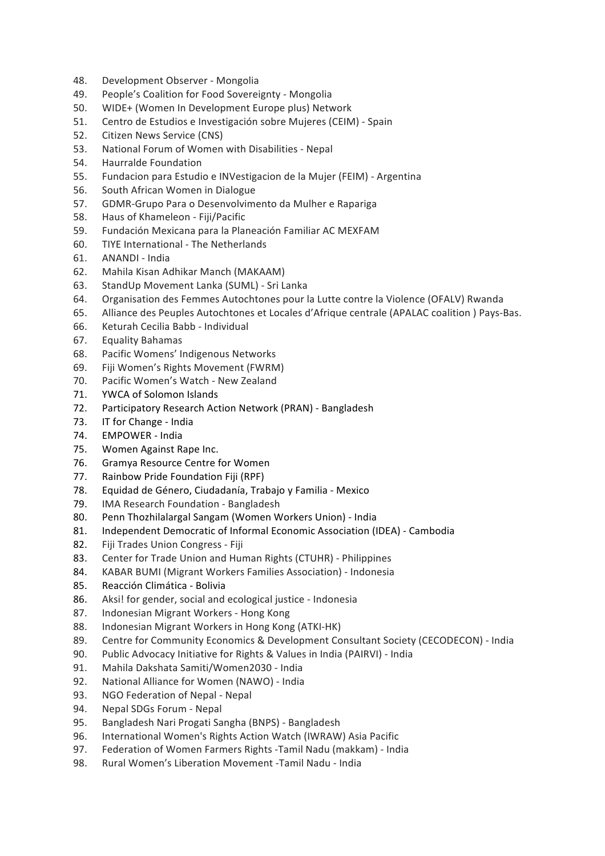- 48. Development Observer Mongolia
- 49. People's Coalition for Food Sovereignty Mongolia
- 50. WIDE+ (Women In Development Europe plus) Network
- 51. Centro de Estudios e Investigación sobre Mujeres (CEIM) Spain
- 52. Citizen News Service (CNS)
- 53. National Forum of Women with Disabilities Nepal
- 54. Haurralde Foundation
- 55. Fundacion para Estudio e INVestigacion de la Mujer (FEIM) Argentina
- 56. South African Women in Dialogue
- 57. GDMR-Grupo Para o Desenvolvimento da Mulher e Rapariga
- 58. Haus of Khameleon Fiji/Pacific
- 59. Fundación Mexicana para la Planeación Familiar AC MEXFAM
- 60. TIYE International The Netherlands
- 61. ANANDI India
- 62. Mahila Kisan Adhikar Manch (MAKAAM)
- 63. StandUp Movement Lanka (SUML) Sri Lanka
- 64. Organisation des Femmes Autochtones pour la Lutte contre la Violence (OFALV) Rwanda
- 65. Alliance des Peuples Autochtones et Locales d'Afrique centrale (APALAC coalition ) Pays-Bas.
- 66. Keturah Cecilia Babb Individual
- 67. Equality Bahamas
- 68. Pacific Womens' Indigenous Networks
- 69. Fiji Women's Rights Movement (FWRM)
- 70. Pacific Women's Watch New Zealand
- 71. YWCA of Solomon Islands
- 72. Participatory Research Action Network (PRAN) Bangladesh
- 73. IT for Change India
- 74. EMPOWER India
- 75. Women Against Rape Inc.
- 76. Gramya Resource Centre for Women
- 77. Rainbow Pride Foundation Fiji (RPF)
- 78. Equidad de Género, Ciudadanía, Trabajo y Familia Mexico
- 79. IMA Research Foundation Bangladesh
- 80. Penn Thozhilalargal Sangam (Women Workers Union) India
- 81. Independent Democratic of Informal Economic Association (IDEA) Cambodia
- 82. Fiji Trades Union Congress Fiji
- 83. Center for Trade Union and Human Rights (CTUHR) Philippines
- 84. KABAR BUMI (Migrant Workers Families Association) Indonesia
- 85. Reacción Climática Bolivia
- 86. Aksi! for gender, social and ecological justice Indonesia
- 87. Indonesian Migrant Workers Hong Kong
- 88. Indonesian Migrant Workers in Hong Kong (ATKI-HK)
- 89. Centre for Community Economics & Development Consultant Society (CECODECON) India
- 90. Public Advocacy Initiative for Rights & Values in India (PAIRVI) India
- 91. Mahila Dakshata Samiti/Women2030 India
- 92. National Alliance for Women (NAWO) India
- 93. NGO Federation of Nepal Nepal
- 94. Nepal SDGs Forum Nepal
- 95. Bangladesh Nari Progati Sangha (BNPS) Bangladesh
- 96. International Women's Rights Action Watch (IWRAW) Asia Pacific
- 97. Federation of Women Farmers Rights -Tamil Nadu (makkam) India
- 98. Rural Women's Liberation Movement -Tamil Nadu India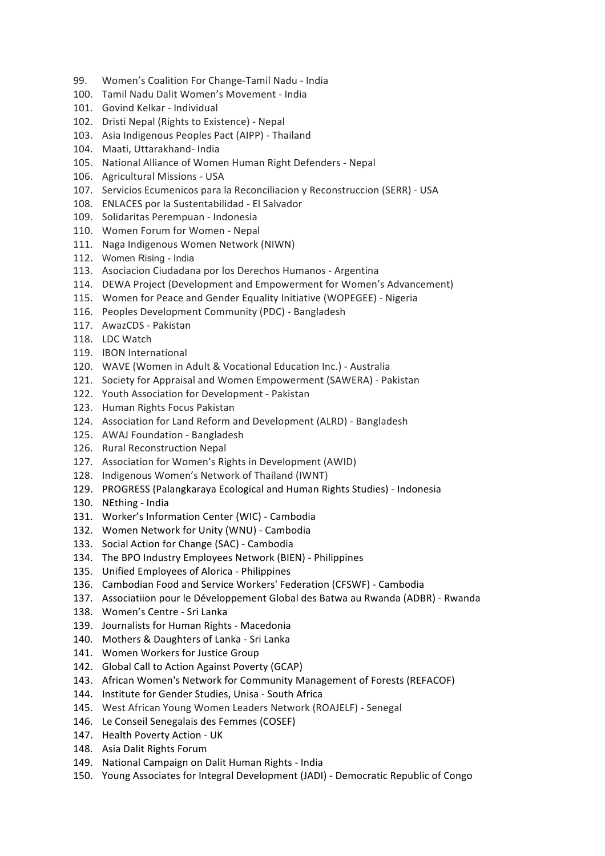- 99. Women's Coalition For Change-Tamil Nadu India
- 100. Tamil Nadu Dalit Women's Movement India
- 101. Govind Kelkar Individual
- 102. Dristi Nepal (Rights to Existence) Nepal
- 103. Asia Indigenous Peoples Pact (AIPP) Thailand
- 104. Maati, Uttarakhand- India
- 105. National Alliance of Women Human Right Defenders Nepal
- 106. Agricultural Missions USA
- 107. Servicios Ecumenicos para la Reconciliacion y Reconstruccion (SERR) USA
- 108. ENLACES por la Sustentabilidad El Salvador
- 109. Solidaritas Perempuan Indonesia
- 110. Women Forum for Women Nepal
- 111. Naga Indigenous Women Network (NIWN)
- 112. Women Rising India
- 113. Asociacion Ciudadana por los Derechos Humanos Argentina
- 114. DEWA Project (Development and Empowerment for Women's Advancement)
- 115. Women for Peace and Gender Equality Initiative (WOPEGEE) Nigeria
- 116. Peoples Development Community (PDC) Bangladesh
- 117. AwazCDS Pakistan
- 118. LDC Watch
- 119. **IBON** International
- 120. WAVE (Women in Adult & Vocational Education Inc.) Australia
- 121. Society for Appraisal and Women Empowerment (SAWERA) Pakistan
- 122. Youth Association for Development Pakistan
- 123. Human Rights Focus Pakistan
- 124. Association for Land Reform and Development (ALRD) Bangladesh
- 125. AWAJ Foundation Bangladesh
- 126. Rural Reconstruction Nepal
- 127. Association for Women's Rights in Development (AWID)
- 128. Indigenous Women's Network of Thailand (IWNT)
- 129. PROGRESS (Palangkaraya Ecological and Human Rights Studies) Indonesia
- 130. NEthing India
- 131. Worker's Information Center (WIC) Cambodia
- 132. Women Network for Unity (WNU) Cambodia
- 133. Social Action for Change (SAC) Cambodia
- 134. The BPO Industry Employees Network (BIEN) Philippines
- 135. Unified Employees of Alorica Philippines
- 136. Cambodian Food and Service Workers' Federation (CFSWF) Cambodia
- 137. Associatiion pour le Développement Global des Batwa au Rwanda (ADBR) Rwanda
- 138. Women's Centre Sri Lanka
- 139. Journalists for Human Rights Macedonia
- 140. Mothers & Daughters of Lanka Sri Lanka
- 141. Women Workers for Justice Group
- 142. Global Call to Action Against Poverty (GCAP)
- 143. African Women's Network for Community Management of Forests (REFACOF)
- 144. Institute for Gender Studies, Unisa South Africa
- 145. West African Young Women Leaders Network (ROAJELF) Senegal
- 146. Le Conseil Senegalais des Femmes (COSEF)
- 147. Health Poverty Action UK
- 148. Asia Dalit Rights Forum
- 149. National Campaign on Dalit Human Rights India
- 150. Young Associates for Integral Development (JADI) Democratic Republic of Congo